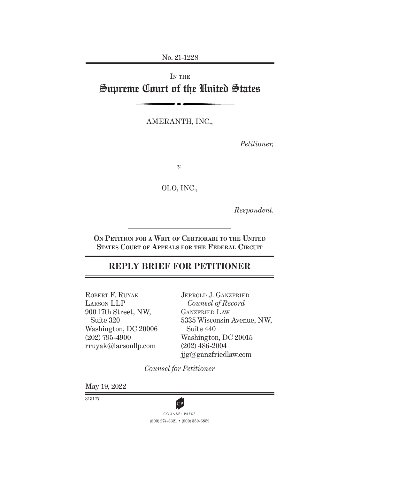No. 21-1228

# IN THE Supreme Court of the United States

AMERANTH, INC.,

*Petitioner,*

*v.*

OLO, INC.,

*Respondent.*

**On Petition for a Writ of Certiorari to the United States Court of Appeals for the Federal Circuit**

# **REPLY BRIEF FOR PETITIONER**

ROBERT F. RUYAK Larson LLP 900 17th Street, NW, Suite 320 Washington, DC 20006 (202) 795-4900 rruyak@larsonllp.com

JERROLD J. GANZFRIED *Counsel of Record* GANZFRIED LAW 5335 Wisconsin Avenue, NW, Suite 440 Washington, DC 20015 (202) 486-2004 jjg@ganzfriedlaw.com

*Counsel for Petitioner*

May 19, 2022

313177



(800) 274-3321 • (800) 359-6859 **CP**<br>COUNSEL PRESS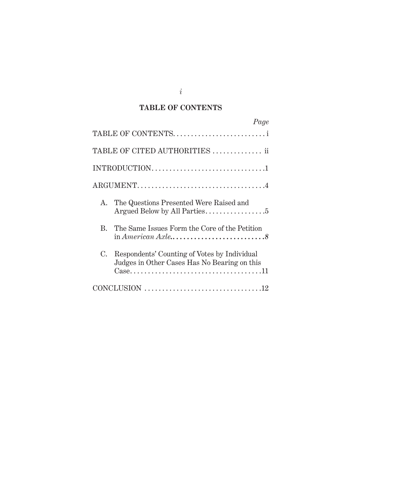### **TABLE OF CONTENTS**

|                                                                                                 | Page                                                                                         |  |
|-------------------------------------------------------------------------------------------------|----------------------------------------------------------------------------------------------|--|
|                                                                                                 | TABLE OF CONTENTS                                                                            |  |
|                                                                                                 | TABLE OF CITED AUTHORITIES  ii                                                               |  |
|                                                                                                 |                                                                                              |  |
| $\text{ARGUMENT} \dots \dots \dots \dots \dots \dots \dots \dots \dots \dots \dots \dots \dots$ |                                                                                              |  |
| $A_{-}$                                                                                         | The Questions Presented Were Raised and                                                      |  |
| R.                                                                                              | The Same Issues Form the Core of the Petition                                                |  |
| C.                                                                                              | Respondents' Counting of Votes by Individual<br>Judges in Other Cases Has No Bearing on this |  |
|                                                                                                 |                                                                                              |  |

*i*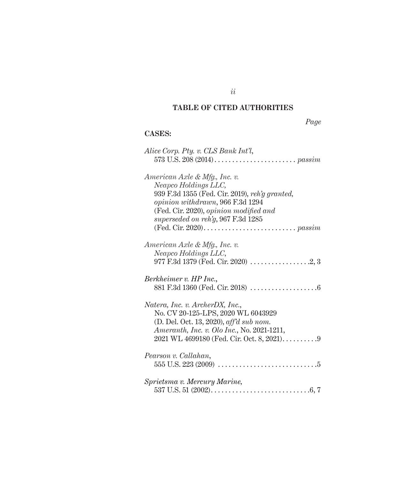# **TABLE OF CITED AUTHORITIES**

*Page*

## **CASES:**

| Alice Corp. Pty. v. CLS Bank Int'l,               |
|---------------------------------------------------|
|                                                   |
| American Axle & Mfg., Inc. v.                     |
| Neapco Holdings LLC,                              |
| 939 F.3d 1355 (Fed. Cir. 2019), reh'g granted,    |
| opinion withdrawn, 966 F.3d 1294                  |
| (Fed. Cir. 2020), opinion modified and            |
| superseded on reh'g, 967 F.3d 1285                |
|                                                   |
|                                                   |
| American Axle & Mfg., Inc. v.                     |
|                                                   |
| Neapco Holdings LLC,                              |
|                                                   |
|                                                   |
| Berkheimer v. HP Inc.,                            |
|                                                   |
|                                                   |
| Natera, Inc. v. ArcherDX, Inc.,                   |
| No. CV 20-125-LPS, 2020 WL 6043929                |
| (D. Del. Oct. 13, 2020), aff'd sub nom.           |
| <i>Ameranth, Inc. v. Olo Inc., No. 2021-1211,</i> |
|                                                   |
|                                                   |
| Pearson v. Callahan,                              |
|                                                   |
|                                                   |
| Sprietsma v. Mercury Marine,                      |
|                                                   |

*ii*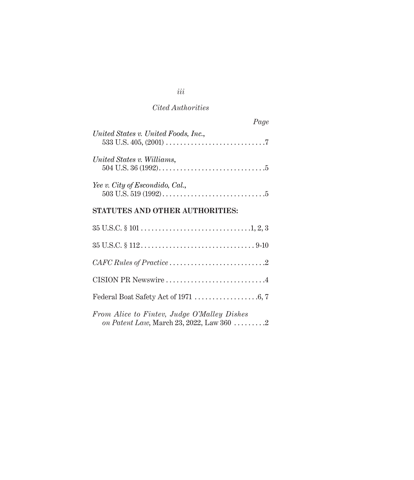### *Cited Authorities*

| Page                                                                                                              |  |
|-------------------------------------------------------------------------------------------------------------------|--|
| United States v. United Foods, Inc.,                                                                              |  |
| United States v. Williams,<br>504 U.S. 36 (1992). $\dots$ . $\dots$ . $\dots$ . $\dots$ . $\dots$ . $\dots$ . $5$ |  |
| Yee v. City of Escondido, Cal.,                                                                                   |  |

### **STATUTES AND OTHER AUTHORITIES:**

| $CAFC Rules of Practice \ldots \ldots \ldots \ldots \ldots \ldots \ldots 2$                           |
|-------------------------------------------------------------------------------------------------------|
| CISION PR Newswire 4                                                                                  |
|                                                                                                       |
| From Alice to Fintev, Judge O'Malley Dishes<br>on Patent Law, March 23, 2022, Law 360 $\dots \dots 2$ |

*iii*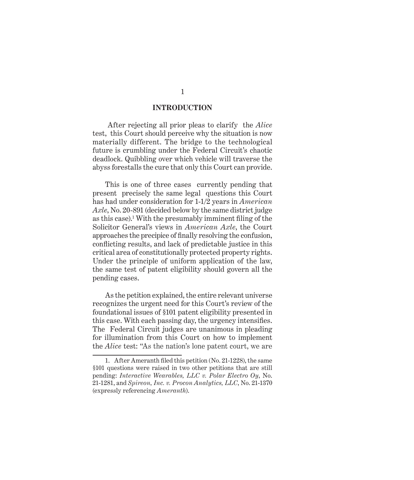#### **INTRODUCTION**

 After rejecting all prior pleas to clarify the *Alice* test, this Court should perceive why the situation is now materially different. The bridge to the technological future is crumbling under the Federal Circuit's chaotic deadlock. Quibbling over which vehicle will traverse the abyss forestalls the cure that only this Court can provide.

This is one of three cases currently pending that present precisely the same legal questions this Court has had under consideration for 1-1/2 years in *American Axle*, No. 20-891 (decided below by the same district judge as this case).1 With the presumably imminent filing of the Solicitor General's views in *American Axle*, the Court approaches the precipice of finally resolving the confusion, conflicting results, and lack of predictable justice in this critical area of constitutionally protected property rights. Under the principle of uniform application of the law, the same test of patent eligibility should govern all the pending cases.

As the petition explained, the entire relevant universe recognizes the urgent need for this Court's review of the foundational issues of §101 patent eligibility presented in this case. With each passing day, the urgency intensifies. The Federal Circuit judges are unanimous in pleading for illumination from this Court on how to implement the *Alice* test: "As the nation's lone patent court, we are

<sup>1.</sup> After Ameranth filed this petition (No. 21-1228), the same §101 questions were raised in two other petitions that are still pending: *Interactive Wearables, LLC v. Polar Electro Oy*, No. 21-1281, and *Spireon, Inc. v. Procon Analytics, LLC*, No. 21-1370 (expressly referencing *Ameranth*).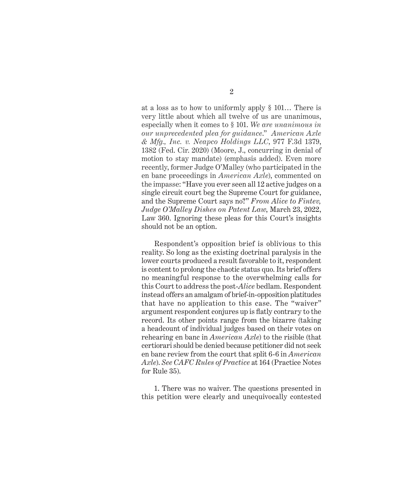at a loss as to how to uniformly apply § 101… There is very little about which all twelve of us are unanimous, especially when it comes to § 101. *We are unanimous in our unprecedented plea for guidance*." *American Axle & Mfg., Inc. v. Neapco Holdings LLC*, 977 F.3d 1379, 1382 (Fed. Cir. 2020) (Moore, J., concurring in denial of motion to stay mandate) (emphasis added). Even more recently, former Judge O'Malley (who participated in the en banc proceedings in *American Axle*), commented on the impasse: "Have you ever seen all 12 active judges on a single circuit court beg the Supreme Court for guidance, and the Supreme Court says no?" *From Alice to Fintev, Judge O'Malley Dishes on Patent Law*, March 23, 2022, Law 360. Ignoring these pleas for this Court's insights should not be an option.

Respondent's opposition brief is oblivious to this reality. So long as the existing doctrinal paralysis in the lower courts produced a result favorable to it, respondent is content to prolong the chaotic status quo. Its brief offers no meaningful response to the overwhelming calls for this Court to address the post-*Alice* bedlam. Respondent instead offers an amalgam of brief-in-opposition platitudes that have no application to this case. The "waiver" argument respondent conjures up is flatly contrary to the record. Its other points range from the bizarre (taking a headcount of individual judges based on their votes on rehearing en banc in *American Axle*) to the risible (that certiorari should be denied because petitioner did not seek en banc review from the court that split 6-6 in *American Axle*). *See CAFC Rules of Practice* at 164 (Practice Notes for Rule 35).

1. There was no waiver. The questions presented in this petition were clearly and unequivocally contested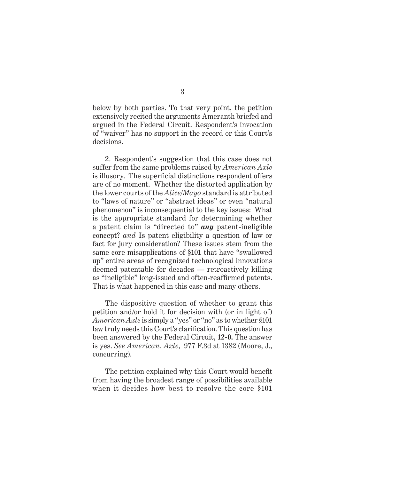below by both parties. To that very point, the petition extensively recited the arguments Ameranth briefed and argued in the Federal Circuit. Respondent's invocation of "waiver" has no support in the record or this Court's decisions.

2. Respondent's suggestion that this case does not suffer from the same problems raised by *American Axle* is illusory. The superficial distinctions respondent offers are of no moment. Whether the distorted application by the lower courts of the *Alice/Mayo* standard is attributed to "laws of nature" or "abstract ideas" or even "natural phenomenon" is inconsequential to the key issues: What is the appropriate standard for determining whether a patent claim is "directed to" *any* patent-ineligible concept? *and* Is patent eligibility a question of law or fact for jury consideration? These issues stem from the same core misapplications of §101 that have "swallowed up" entire areas of recognized technological innovations deemed patentable for decades — retroactively killing as "ineligible" long-issued and often-reaffirmed patents. That is what happened in this case and many others.

The dispositive question of whether to grant this petition and/or hold it for decision with (or in light of) *American Axle* is simply a "yes" or "no" as to whether §101 law truly needs this Court's clarification. This question has been answered by the Federal Circuit, **12-0.** The answer is yes. *See American. Axle*, 977 F.3d at 1382 (Moore, J., concurring).

The petition explained why this Court would benefit from having the broadest range of possibilities available when it decides how best to resolve the core §101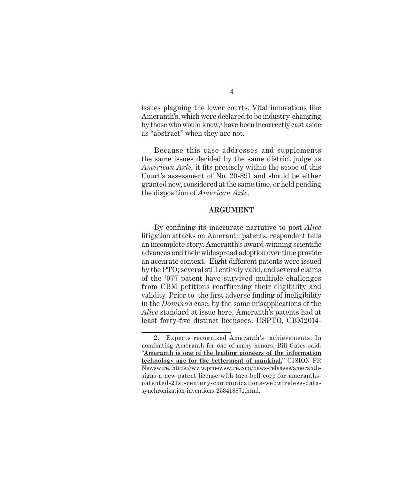issues plaguing the lower courts. Vital innovations like Ameranth's, which were declared to be industry-changing by those who would know,<sup>2</sup> have been incorrectly cast aside as "abstract" when they are not.

Because this case addresses and supplements the same issues decided by the same district judge as *American Axle,* it fits precisely within the scope of this Court's assessment of No. 20-891 and should be either granted now, considered at the same time, or held pending the disposition of *American Axle*.

#### **ARGUMENT**

By confining its inaccurate narrative to post-*Alice*  litigation attacks on Ameranth patents, respondent tells an incomplete story. Ameranth's award-winning scientific advances and their widespread adoption over time provide an accurate context. Eight different patents were issued by the PTO; several still entirely valid, and several claims of the '077 patent have survived multiple challenges from CBM petitions reaffirming their eligibility and validity. Prior to the first adverse finding of ineligibility in the *Domino's* case, by the same misapplications of the *Alice* standard at issue here, Ameranth's patents had at least forty-five distinct licensees. USPTO, CBM2014-

4

<sup>2.</sup> Experts recognized Ameranth's achievements. In nominating Ameranth for one of many honors, Bill Gates said: "**Ameranth is one of the leading pioneers of the information technology age for the betterment of mankind.**" CISION PR Newswire, https://www.prnewswire.com/news-releases/ameranthsigns-a-new-patent-license-with-taco-bell-corp-for-ameranthspatented-21st-century-communications-webwireless-datasynchronization-inventions-253418871.html.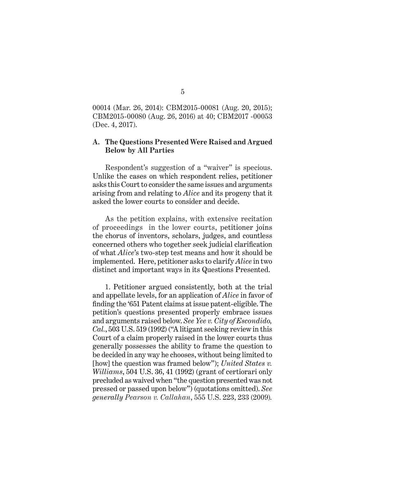00014 (Mar. 26, 2014): CBM2015-00081 (Aug. 20, 2015); CBM2015-00080 (Aug. 26, 2016) at 40; CBM2017 -00053 (Dec. 4, 2017).

#### **A. The Questions Presented Were Raised and Argued Below by All Parties**

Respondent's suggestion of a "waiver" is specious. Unlike the cases on which respondent relies, petitioner asks this Court to consider the same issues and arguments arising from and relating to *Alice* and its progeny that it asked the lower courts to consider and decide.

As the petition explains, with extensive recitation of proceedings in the lower courts, petitioner joins the chorus of inventors, scholars, judges, and countless concerned others who together seek judicial clarification of what *Alice*'s two-step test means and how it should be implemented. Here, petitioner asks to clarify *Alice* in two distinct and important ways in its Questions Presented.

1. Petitioner argued consistently, both at the trial and appellate levels, for an application of *Alice* in favor of finding the '651 Patent claims at issue patent-eligible. The petition's questions presented properly embrace issues and arguments raised below. *See Yee v. City of Escondido, Cal.*, 503 U.S. 519 (1992) ("A litigant seeking review in this Court of a claim properly raised in the lower courts thus generally possesses the ability to frame the question to be decided in any way he chooses, without being limited to [how] the question was framed below"); *United States v. Williams*, 504 U.S. 36, 41 (1992) (grant of certiorari only precluded as waived when "the question presented was not pressed or passed upon below") (quotations omitted). *See generally Pearson v. Callahan*, 555 U.S. 223, 233 (2009)*.*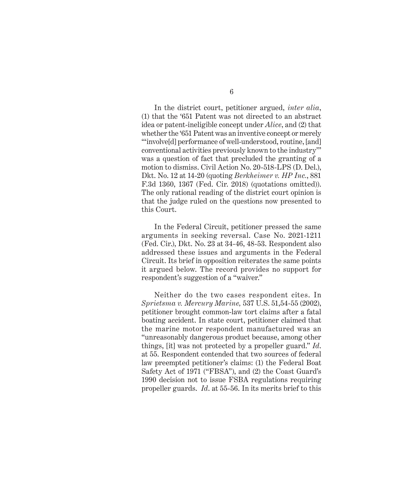In the district court, petitioner argued, *inter alia*, (1) that the '651 Patent was not directed to an abstract idea or patent-ineligible concept under *Alice*, and (2) that whether the '651 Patent was an inventive concept or merely "'involve[d] performance of well-understood, routine, [and] conventional activities previously known to the industry'" was a question of fact that precluded the granting of a motion to dismiss. Civil Action No. 20-518-LPS (D. Del.), Dkt. No. 12 at 14-20 (quoting *Berkheimer v. HP Inc.*, 881 F.3d 1360, 1367 (Fed. Cir. 2018) (quotations omitted)). The only rational reading of the district court opinion is that the judge ruled on the questions now presented to this Court.

In the Federal Circuit, petitioner pressed the same arguments in seeking reversal. Case No. 2021-1211 (Fed. Cir.), Dkt. No. 23 at 34-46, 48-53. Respondent also addressed these issues and arguments in the Federal Circuit. Its brief in opposition reiterates the same points it argued below. The record provides no support for respondent's suggestion of a "waiver."

Neither do the two cases respondent cites. In *Sprietsma v. Mercury Marine,* 537 U.S. 51,54-55 (2002), petitioner brought common-law tort claims after a fatal boating accident. In state court, petitioner claimed that the marine motor respondent manufactured was an "unreasonably dangerous product because, among other things, [it] was not protected by a propeller guard." *Id*. at 55. Respondent contended that two sources of federal law preempted petitioner's claims: (1) the Federal Boat Safety Act of 1971 ("FBSA"), and (2) the Coast Guard's 1990 decision not to issue FSBA regulations requiring propeller guards. *Id*. at 55-56. In its merits brief to this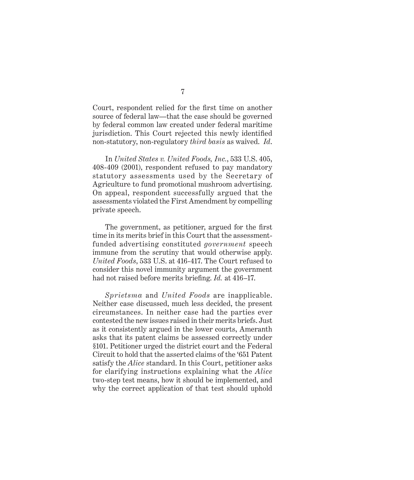Court, respondent relied for the first time on another source of federal law—that the case should be governed by federal common law created under federal maritime jurisdiction. This Court rejected this newly identified non-statutory, non-regulatory *third basis* as waived. *Id*.

In *United States v. United Foods, Inc.*, 533 U.S. 405, 408-409 (2001), respondent refused to pay mandatory statutory assessments used by the Secretary of Agriculture to fund promotional mushroom advertising. On appeal, respondent successfully argued that the assessments violated the First Amendment by compelling private speech.

The government, as petitioner, argued for the first time in its merits brief in this Court that the assessmentfunded advertising constituted *government* speech immune from the scrutiny that would otherwise apply. *United Foods*, 533 U.S. at 416-417. The Court refused to consider this novel immunity argument the government had not raised before merits briefing. *Id.* at 416–17.

*Sprietsma* and *United Foods* are inapplicable. Neither case discussed, much less decided, the present circumstances. In neither case had the parties ever contested the new issues raised in their merits briefs. Just as it consistently argued in the lower courts, Ameranth asks that its patent claims be assessed correctly under §101. Petitioner urged the district court and the Federal Circuit to hold that the asserted claims of the '651 Patent satisfy the *Alice* standard. In this Court, petitioner asks for clarifying instructions explaining what the *Alice*  two-step test means, how it should be implemented, and why the correct application of that test should uphold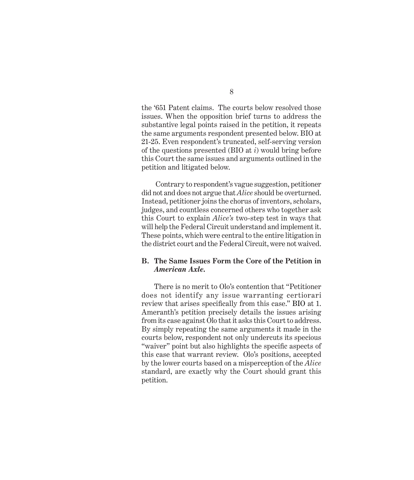the '651 Patent claims. The courts below resolved those issues. When the opposition brief turns to address the substantive legal points raised in the petition, it repeats the same arguments respondent presented below. BIO at 21-25. Even respondent's truncated, self-serving version of the questions presented (BIO at *i*) would bring before this Court the same issues and arguments outlined in the petition and litigated below.

 Contrary to respondent's vague suggestion, petitioner did not and does not argue that *Alice* should be overturned. Instead, petitioner joins the chorus of inventors, scholars, judges, and countless concerned others who together ask this Court to explain *Alice's* two-step test in ways that will help the Federal Circuit understand and implement it. These points, which were central to the entire litigation in the district court and the Federal Circuit, were not waived.

#### **B. The Same Issues Form the Core of the Petition in**  *American Axle.*

There is no merit to Olo's contention that "Petitioner does not identify any issue warranting certiorari review that arises specifically from this case." BIO at 1. Ameranth's petition precisely details the issues arising from its case against Olo that it asks this Court to address. By simply repeating the same arguments it made in the courts below, respondent not only undercuts its specious "waiver" point but also highlights the specific aspects of this case that warrant review. Olo's positions, accepted by the lower courts based on a misperception of the *Alice* standard, are exactly why the Court should grant this petition.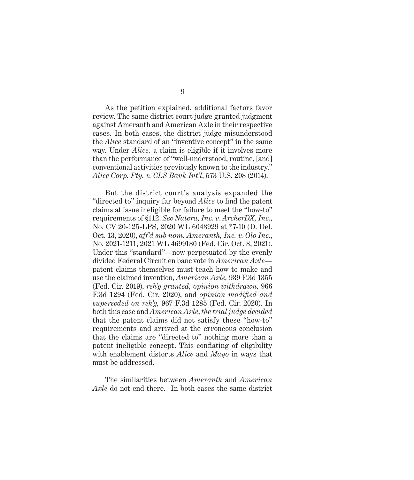As the petition explained, additional factors favor review. The same district court judge granted judgment against Ameranth and American Axle in their respective cases. In both cases, the district judge misunderstood the *Alice* standard of an "inventive concept" in the same way. Under *Alice,* a claim is eligible if it involves more than the performance of "well-understood, routine, [and] conventional activities previously known to the industry." *Alice Corp. Pty. v. CLS Bank Int'l*, 573 U.S. 208 (2014).

But the district court's analysis expanded the "directed to" inquiry far beyond *Alice* to find the patent claims at issue ineligible for failure to meet the "how-to" requirements of §112. *See Natera, Inc. v. ArcherDX, Inc.*, No. CV 20-125-LPS, 2020 WL 6043929 at \*7-10 (D. Del. Oct. 13, 2020), *aff'd sub nom. Ameranth, Inc. v. Olo Inc.*, No. 2021-1211, 2021 WL 4699180 (Fed. Cir. Oct. 8, 2021). Under this "standard"—now perpetuated by the evenly divided Federal Circuit en banc vote in *American Axle* patent claims themselves must teach how to make and use the claimed invention, *American Axle,* 939 F.3d 1355 (Fed. Cir. 2019), *reh'g granted, opinion withdrawn,* 966 F.3d 1294 (Fed. Cir. 2020), and *opinion modified and superseded on reh'g,* 967 F.3d 1285 (Fed. Cir. 2020). In both this case and *American Axle*, *the trial judge decided* that the patent claims did not satisfy these "how-to" requirements and arrived at the erroneous conclusion that the claims are "directed to" nothing more than a patent ineligible concept. This conflating of eligibility with enablement distorts *Alice* and *Mayo* in ways that must be addressed.

The similarities between *Ameranth* and *American Axle* do not end there. In both cases the same district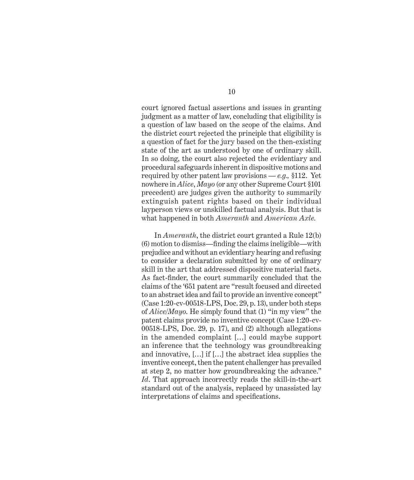court ignored factual assertions and issues in granting judgment as a matter of law, concluding that eligibility is a question of law based on the scope of the claims. And the district court rejected the principle that eligibility is a question of fact for the jury based on the then-existing state of the art as understood by one of ordinary skill. In so doing, the court also rejected the evidentiary and procedural safeguards inherent in dispositive motions and required by other patent law provisions — *e.g.,* §112. Yet nowhere in *Alice*, *Mayo* (or any other Supreme Court §101 precedent) are judges given the authority to summarily extinguish patent rights based on their individual layperson views or unskilled factual analysis. But that is what happened in both *Ameranth* and *American Axle.*

In *Ameranth*, the district court granted a Rule 12(b) (6) motion to dismiss—finding the claims ineligible—with prejudice and without an evidentiary hearing and refusing to consider a declaration submitted by one of ordinary skill in the art that addressed dispositive material facts. As fact-finder, the court summarily concluded that the claims of the '651 patent are "result focused and directed to an abstract idea and fail to provide an inventive concept" (Case 1:20-cv-00518-LPS, Doc. 29, p. 13), under both steps of *Alice/Mayo*. He simply found that (1) "in my view" the patent claims provide no inventive concept (Case 1:20-cv-00518-LPS, Doc. 29, p. 17), and (2) although allegations in the amended complaint […] could maybe support an inference that the technology was groundbreaking and innovative, […] if […] the abstract idea supplies the inventive concept, then the patent challenger has prevailed at step 2, no matter how groundbreaking the advance." *Id*. That approach incorrectly reads the skill-in-the-art standard out of the analysis, replaced by unassisted lay interpretations of claims and specifications.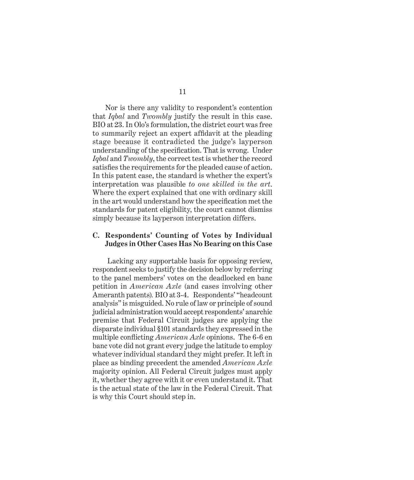Nor is there any validity to respondent's contention that *Iqbal* and *Twombly* justify the result in this case. BIO at 23. In Olo's formulation, the district court was free to summarily reject an expert affidavit at the pleading stage because it contradicted the judge's layperson understanding of the specification. That is wrong. Under *Iqbal* and *Twombly*, the correct test is whether the record satisfies the requirements for the pleaded cause of action. In this patent case, the standard is whether the expert's interpretation was plausible *to one skilled in the art*. Where the expert explained that one with ordinary skill in the art would understand how the specification met the standards for patent eligibility, the court cannot dismiss simply because its layperson interpretation differs.

#### **C. Respondents' Counting of Votes by Individual Judges in Other Cases Has No Bearing on this Case**

 Lacking any supportable basis for opposing review, respondent seeks to justify the decision below by referring to the panel members' votes on the deadlocked en banc petition in *American Axle* (and cases involving other Ameranth patents)*.* BIO at 3-4. Respondents' "headcount analysis" is misguided. No rule of law or principle of sound judicial administration would accept respondents' anarchic premise that Federal Circuit judges are applying the disparate individual §101 standards they expressed in the multiple conflicting *American Axle* opinions. The 6-6 en banc vote did not grant every judge the latitude to employ whatever individual standard they might prefer. It left in place as binding precedent the amended *American Axle*  majority opinion. All Federal Circuit judges must apply it, whether they agree with it or even understand it. That is the actual state of the law in the Federal Circuit. That is why this Court should step in.